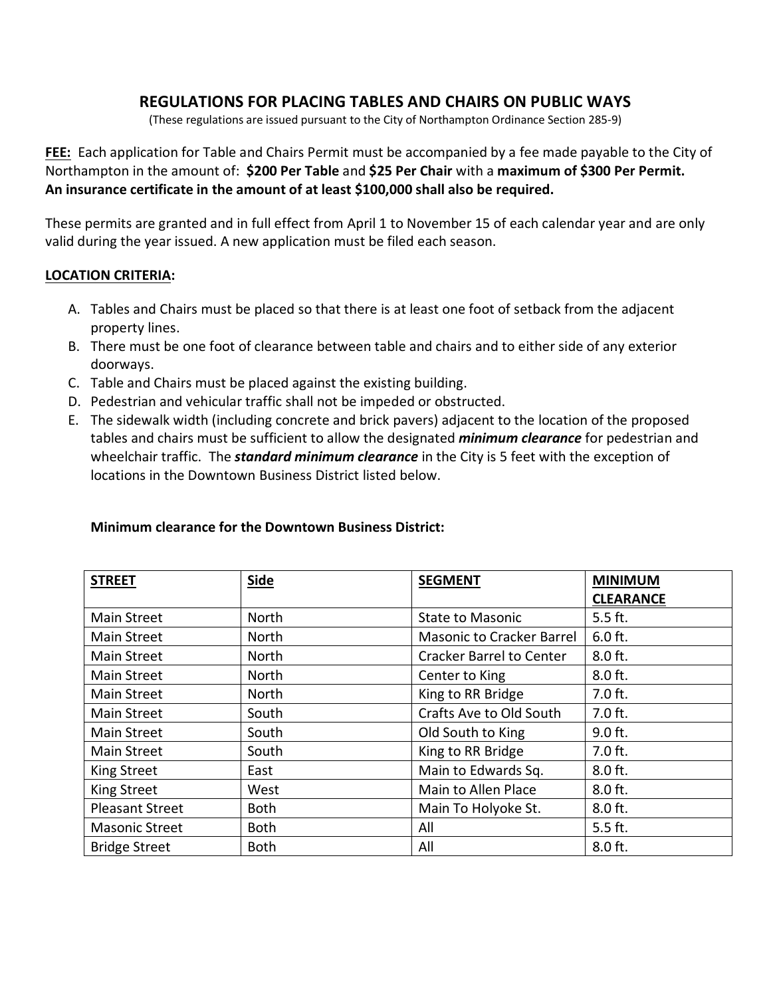# **REGULATIONS FOR PLACING TABLES AND CHAIRS ON PUBLIC WAYS**

(These regulations are issued pursuant to the City of Northampton Ordinance Section 285-9)

**FEE:** Each application for Table and Chairs Permit must be accompanied by a fee made payable to the City of Northampton in the amount of: **\$200 Per Table** and **\$25 Per Chair** with a **maximum of \$300 Per Permit. An insurance certificate in the amount of at least \$100,000 shall also be required.**

These permits are granted and in full effect from April 1 to November 15 of each calendar year and are only valid during the year issued. A new application must be filed each season.

#### **LOCATION CRITERIA:**

- A. Tables and Chairs must be placed so that there is at least one foot of setback from the adjacent property lines.
- B. There must be one foot of clearance between table and chairs and to either side of any exterior doorways.
- C. Table and Chairs must be placed against the existing building.
- D. Pedestrian and vehicular traffic shall not be impeded or obstructed.
- E. The sidewalk width (including concrete and brick pavers) adjacent to the location of the proposed tables and chairs must be sufficient to allow the designated *minimum clearance* for pedestrian and wheelchair traffic. The *standard minimum clearance* in the City is 5 feet with the exception of locations in the Downtown Business District listed below.

#### **Minimum clearance for the Downtown Business District:**

| <b>STREET</b>          | <b>Side</b> | <b>SEGMENT</b>                   | <b>MINIMUM</b><br><b>CLEARANCE</b> |
|------------------------|-------------|----------------------------------|------------------------------------|
| <b>Main Street</b>     | North       | <b>State to Masonic</b>          | $5.5$ ft.                          |
| <b>Main Street</b>     | North       | <b>Masonic to Cracker Barrel</b> | $6.0$ ft.                          |
| <b>Main Street</b>     | North       | <b>Cracker Barrel to Center</b>  | 8.0 ft.                            |
| <b>Main Street</b>     | North       | Center to King                   | 8.0 ft.                            |
| <b>Main Street</b>     | North       | King to RR Bridge                | 7.0 ft.                            |
| <b>Main Street</b>     | South       | Crafts Ave to Old South          | $7.0$ ft.                          |
| <b>Main Street</b>     | South       | Old South to King                | 9.0 ft.                            |
| <b>Main Street</b>     | South       | King to RR Bridge                | $7.0$ ft.                          |
| King Street            | East        | Main to Edwards Sq.              | $8.0$ ft.                          |
| King Street            | West        | Main to Allen Place              | $8.0$ ft.                          |
| <b>Pleasant Street</b> | <b>Both</b> | Main To Holyoke St.              | $8.0$ ft.                          |
| <b>Masonic Street</b>  | <b>Both</b> | All                              | 5.5 ft.                            |
| <b>Bridge Street</b>   | <b>Both</b> | All                              | $8.0$ ft.                          |